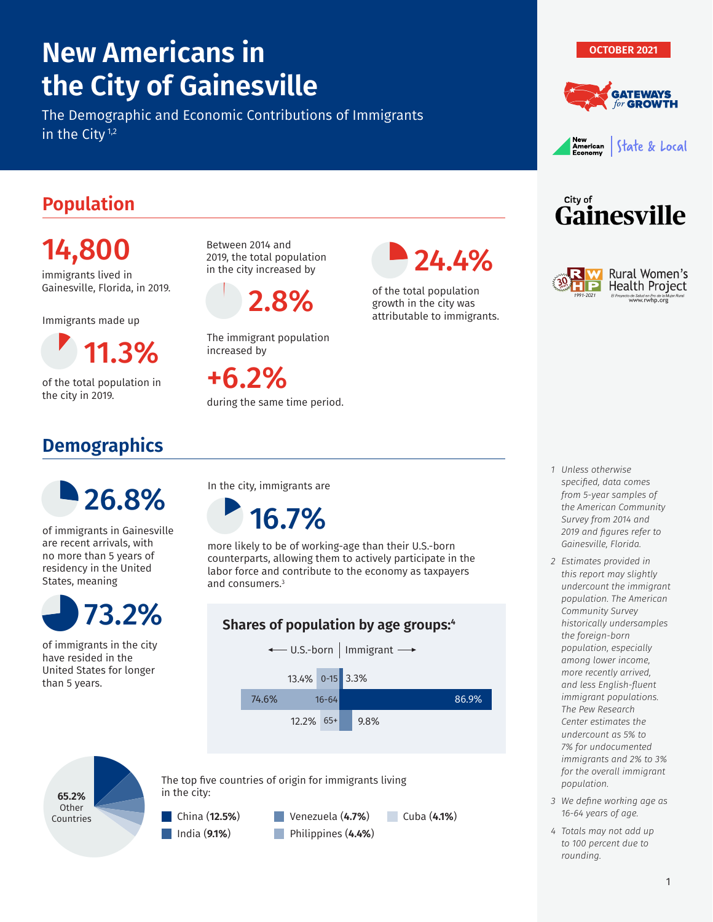# **New Americans in the City of Gainesville**

The Demographic and Economic Contributions of Immigrants in the City<sup>1,2</sup>







**Gainesville** 

Rural Women's **Health Project** i de Salud en Pro de la Muj<br>**www.rwhp.org** 

City of

#### **Population**

14,800 immigrants lived in

Gainesville, Florida, in 2019.

Immigrants made up

1 1.3%

of the total population in the city in 2019.

## **Demographics**

Between 2014 and 2019, the total population in the city increased by

2.8%

The immigrant population

during the same time period.

increased by

+6.2%



of the total population growth in the city was 1998 attributable to immigrants.



of immigrants in Gainesville are recent arrivals, with no more than 5 years of residency in the United States, meaning



of immigrants in the city have resided in the United States for longer than 5 years.

In the city, immigrants are

 $\overline{\phantom{a}}$ 16.7%

more likely to be of working-age than their U.S.-born counterparts, allowing them to actively participate in the labor force and contribute to the economy as taxpayers and consumers.3

#### **Shares of population by age groups:4**



Cuba (**4.1%**)



The top five countries of origin for immigrants living in the city:





- *from 5-year samples of the American Community Survey from 2014 and 2019 and figures refer to Gainesville, Florida.*
- *2 Estimates provided in this report may slightly undercount the immigrant population. The American Community Survey historically undersamples the foreign-born population, especially among lower income, more recently arrived, and less English-fluent immigrant populations. The Pew Research Center estimates the undercount as 5% to 7% for undocumented immigrants and 2% to 3% for the overall immigrant population.*
- *3 We define working age as 16-64 years of age.*
- *4 Totals may not add up to 100 percent due to rounding.*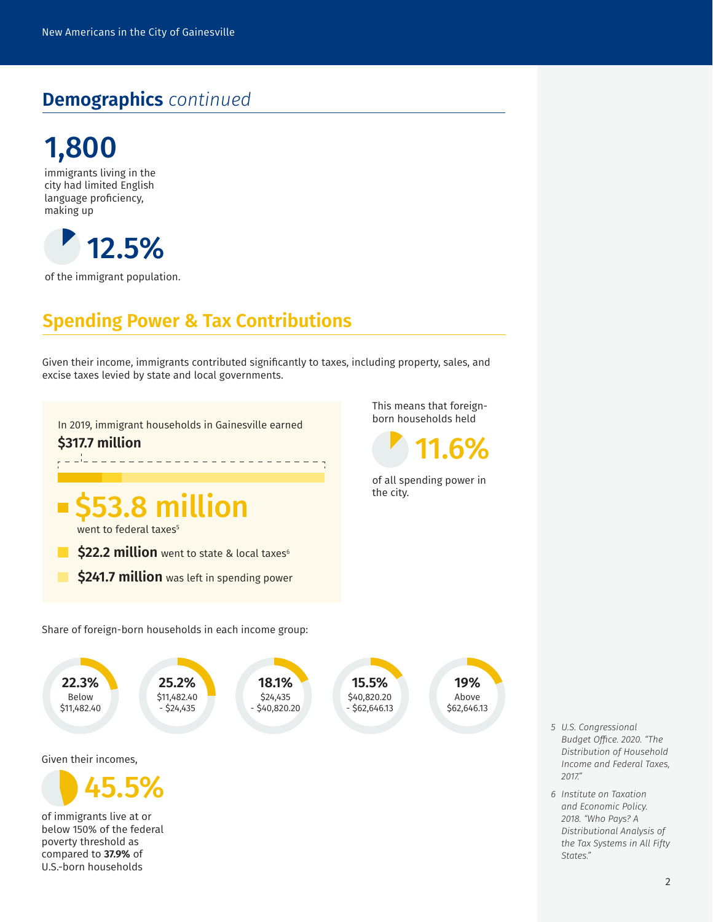### **Demographics** *continued*



immigrants living in the city had limited English language proficiency, making up



of the immigrant population.

#### **Spending Power & Tax Contributions**

Given their income, immigrants contributed significantly to taxes, including property, sales, and excise taxes levied by state and local governments.

In 2019, immigrant households in Gainesville earned 12 **\$317.7 million** . <u>. . . . . . . . . .</u> the city. **3.8 million** went to federal taxes<sup>®</sup> **\$22.2 million** went to state & local taxes<sup>6</sup>  $\mathbb{R}^n$ **\$241.7 million** was left in spending power Share of foreign-born households in each income group: 22.3%<br>Below<br>\$11,482.40 **22.3%**<br>
Below<br>  $$11,482.40$ <br>  $$14,482.40$ <br>  $$14,482.40$ <br>  $$15,5\%$ <br>  $$40,820.20$ <br>  $$40,820.20$ <br>  $$62,646.13$ <br>  $$62,646.13$ <br>  $$62,646.13$ **25.2% 18.1% 15.5%** Below \$11,482.40 \$24,435 \$40,820.20 \$11,482.40  $-$  \$24,435 - \$40,820.20 - \$62,646.13 Given their incomes, 46 45.5% of immigrants live at or below 150% of the federal poverty threshold as compared to **37.9%** of U.S.-born households

This means that foreign-<br>born households held



of all spending power in

**19%** Above \$62,646.13

> *5 U.S. Congressional Budget Office. 2020. "The Distribution of Household Income and Federal Taxes, 2017."*

*6 Institute on Taxation and Economic Policy. 2018. "Who Pays? A Distributional Analysis of the Tax Systems in All Fifty States."*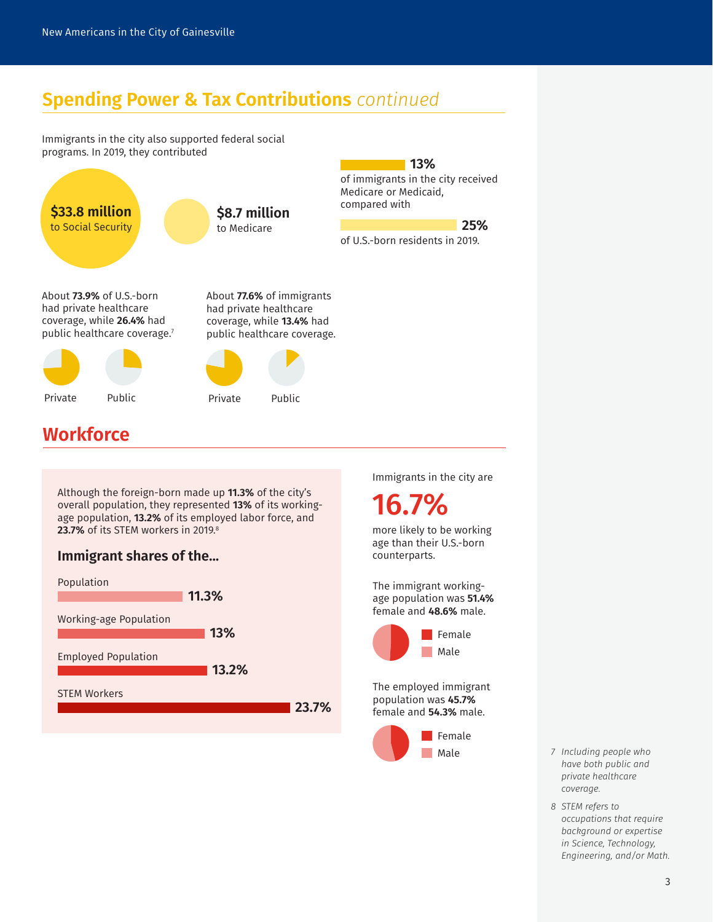#### **Spending Power & Tax Contributions** *continued*

Immigrants in the city also supported federal social programs. In 2019, they contributed



#### **Workforce**

Although the foreign-born made up **11.3%** of the city's overall population, they represented **13%** of its workingage population, **13.2%** of its employed labor force, and 23.7% of its STEM workers in 2019.<sup>8</sup>

#### **Immigrant shares of the...**



Immigrants in the city are

**13%**

16.7%

more likely to be working age than their U.S.-born counterparts.

The immigrant workingage population was **51.4%** female and **48.6%** male.



The employed immigrant population was **45.7%** female and **54.3%** male.



- *7 Including people who have both public and private healthcare coverage.*
- *8 STEM refers to occupations that require background or expertise in Science, Technology, Engineering, and/or Math.*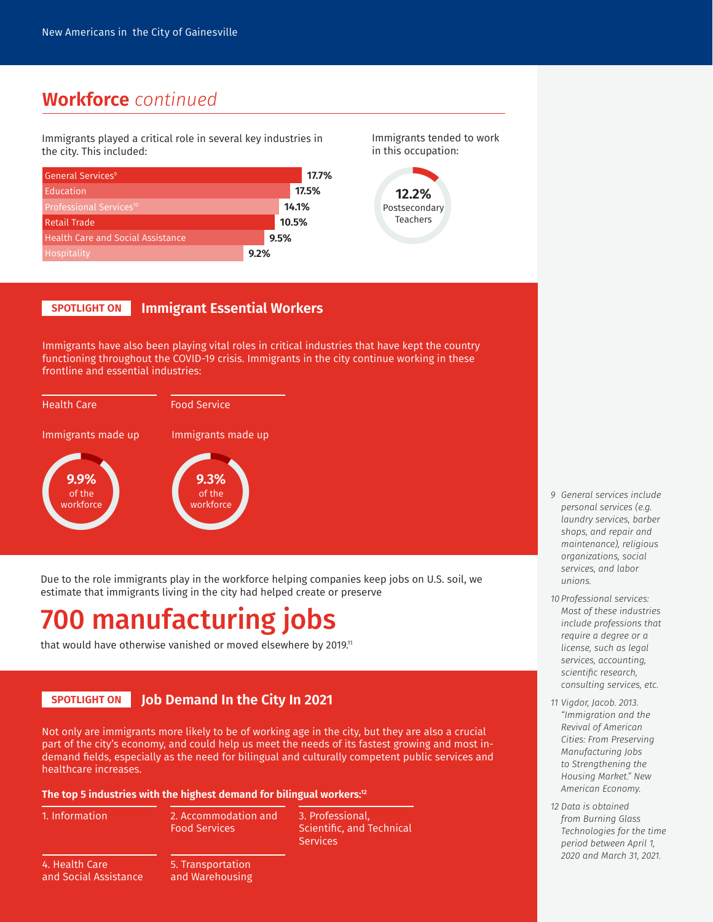#### **Workforce** *continued*

Immigrants played a critical role in several key industries in the city. This included:



Immigrants tended to work in this occupation:



#### **SPOTLIGHT ON Immigrant Essential Workers**

Immigrants have also been playing vital roles in critical industries that have kept the country functioning throughout the COVID-19 crisis. Immigrants in the city continue working in these frontline and essential industries:



Due to the role immigrants play in the workforce helping companies keep jobs on U.S. soil, we estimate that immigrants living in the city had helped create or preserve

## **0 manufacturing jobs**

that would have otherwise vanished or moved elsewhere by 2019.<sup>11</sup>

#### **SPOTLIGHT ON Job Demand In the City In 2021**

Not only are immigrants more likely to be of working age in the city, but they are also a crucial part of the city's economy, and could help us meet the needs of its fastest growing and most indemand fields, especially as the need for bilingual and culturally competent public services and healthcare increases.

**The top 5 industries with the highest demand for bilingual workers:12**

|  | 1. Information |  |
|--|----------------|--|
|  |                |  |

1. Information 3. Professional, 2. Accommodation and Food Services

Scientific, and Technical **Services** 

4. Health Care and Social Assistance 5. Transportation and Warehousing

- *9 General services include personal services (e.g. laundry services, barber shops, and repair and maintenance), religious organizations, social services, and labor unions.*
- *10 Professional services: Most of these industries include professions that require a degree or a license, such as legal services, accounting, scientific research, consulting services, etc.*
- *11 Vigdor, Jacob. 2013. "Immigration and the Revival of American Cities: From Preserving Manufacturing Jobs to Strengthening the Housing Market." New American Economy.*
- *12 Data is obtained from Burning Glass Technologies for the time period between April 1, 2020 and March 31, 2021.*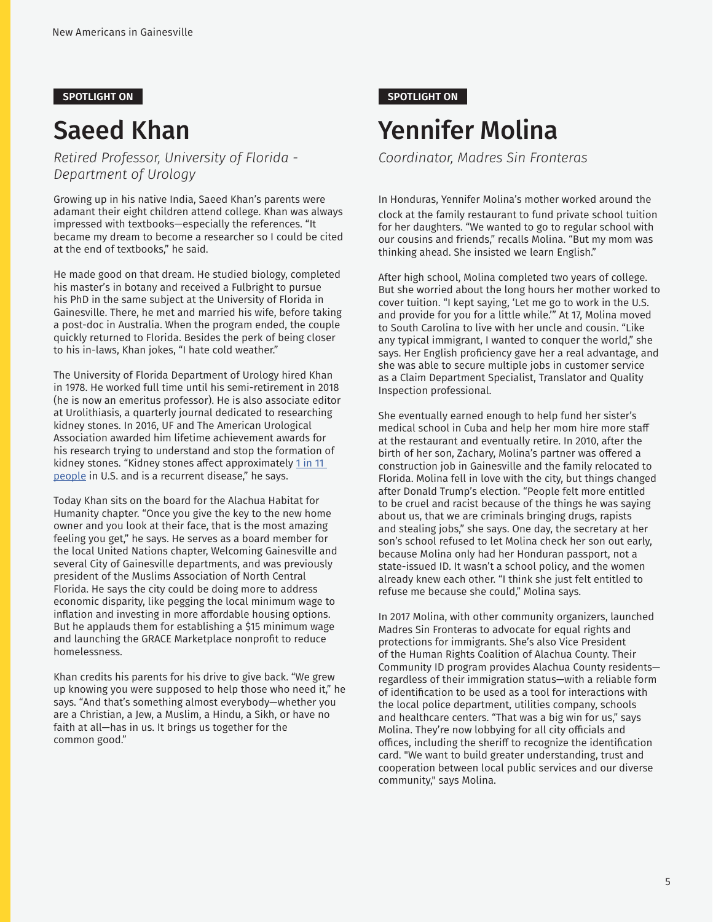## Saeed Khan

*Retired Professor, University of Florida - Department of Urology*

Growing up in his native India, Saeed Khan's parents were adamant their eight children attend college. Khan was always impressed with textbooks—especially the references. "It became my dream to become a researcher so I could be cited at the end of textbooks," he said.

He made good on that dream. He studied biology, completed his master's in botany and received a Fulbright to pursue his PhD in the same subject at the University of Florida in Gainesville. There, he met and married his wife, before taking a post-doc in Australia. When the program ended, the couple quickly returned to Florida. Besides the perk of being closer to his in-laws, Khan jokes, "I hate cold weather."

The University of Florida Department of Urology hired Khan in 1978. He worked full time until his semi-retirement in 2018 (he is now an emeritus professor). He is also associate editor at Urolithiasis, a quarterly journal dedicated to researching kidney stones. In 2016, UF and The American Urological Association awarded him lifetime achievement awards for his research trying to understand and stop the formation of kidney stones. "Kidney stones affect approximately 1 in 11 people in U.S. and is a recurrent disease," he says.

Today Khan sits on the board for the Alachua Habitat for Humanity chapter. "Once you give the key to the new home owner and you look at their face, that is the most amazing feeling you get," he says. He serves as a board member for the local United Nations chapter, Welcoming Gainesville and several City of Gainesville departments, and was previously president of the Muslims Association of North Central Florida. He says the city could be doing more to address economic disparity, like pegging the local minimum wage to inflation and investing in more affordable housing options. But he applauds them for establishing a \$15 minimum wage and launching the GRACE Marketplace nonprofit to reduce homelessness.

Khan credits his parents for his drive to give back. "We grew up knowing you were supposed to help those who need it," he says. "And that's something almost everybody—whether you are a Christian, a Jew, a Muslim, a Hindu, a Sikh, or have no faith at all—has in us. It brings us together for the common good."

#### **SPOTLIGHT ON SPOTLIGHT ON**

## Yennifer Molina

*Coordinator, Madres Sin Fronteras*

In Honduras, Yennifer Molina's mother worked around the clock at the family restaurant to fund private school tuition for her daughters. "We wanted to go to regular school with our cousins and friends," recalls Molina. "But my mom was thinking ahead. She insisted we learn English."

After high school, Molina completed two years of college. But she worried about the long hours her mother worked to cover tuition. "I kept saying, 'Let me go to work in the U.S. and provide for you for a little while.'" At 17, Molina moved to South Carolina to live with her uncle and cousin. "Like any typical immigrant, I wanted to conquer the world," she says. Her English proficiency gave her a real advantage, and she was able to secure multiple jobs in customer service as a Claim Department Specialist, Translator and Quality Inspection professional.

She eventually earned enough to help fund her sister's medical school in Cuba and help her mom hire more staff at the restaurant and eventually retire. In 2010, after the birth of her son, Zachary, Molina's partner was offered a construction job in Gainesville and the family relocated to Florida. Molina fell in love with the city, but things changed after Donald Trump's election. "People felt more entitled to be cruel and racist because of the things he was saying about us, that we are criminals bringing drugs, rapists and stealing jobs," she says. One day, the secretary at her son's school refused to let Molina check her son out early, because Molina only had her Honduran passport, not a state-issued ID. It wasn't a school policy, and the women already knew each other. "I think she just felt entitled to refuse me because she could," Molina says.

In 2017 Molina, with other community organizers, launched Madres Sin Fronteras to advocate for equal rights and protections for immigrants. She's also Vice President of the Human Rights Coalition of Alachua County. Their Community ID program provides Alachua County residents regardless of their immigration status—with a reliable form of identification to be used as a tool for interactions with the local police department, utilities company, schools and healthcare centers. "That was a big win for us," says Molina. They're now lobbying for all city officials and offices, including the sheriff to recognize the identification card. "We want to build greater understanding, trust and cooperation between local public services and our diverse community," says Molina.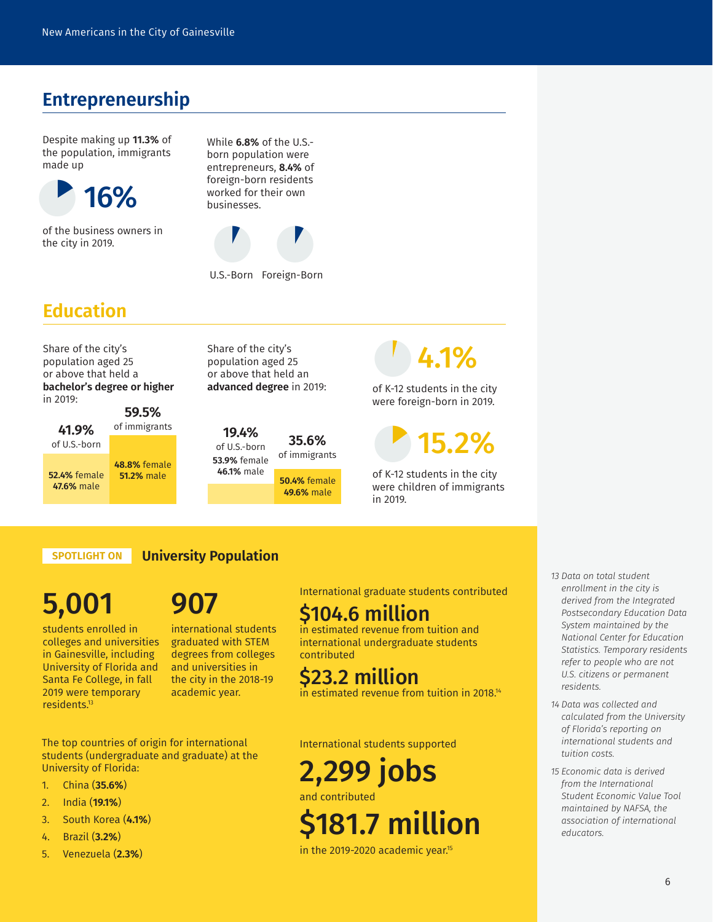#### **Entrepreneurship**

Despite making up **11.3%** of the population, immigrants made up



of the business owners in the city in 2019.

While **6.8%** of the U.S. born population were entrepreneurs, **8.4%** of foreign-born residents



U.S.-Born Foreign-Born

#### **Education**

Share of the city's population aged 25 or above that held a **bachelor's degree or higher** in 2019:

**41.9%** of U.S.-born **59.5%** of immigrants **52.4%** female<br>**47.6%** male **48.8%** female **51.2%** male

Share of the city's population aged 25 or above that held an **advanced degree** in 2019:

**19.4%** of U.S.-born **53.9%** female **46.1%** male **35.6%** of immigrants **47.6%** male **50.4%** female **49.6%** male

## $\overline{\phantom{a}}$ 4.1%

of K-12 students in the city were foreign-born in 2019.

158 15.2%

of K-12 students in the city were children of immigrants in 2019.

**SPOTLIGHT ON University Population**

# 5,001

students enrolled in colleges and universities in Gainesville, including University of Florida and Santa Fe College, in fall 2019 were temporary residents.13

907

international students graduated with STEM degrees from colleges and universities in the city in the 2018-19 academic year.

The top countries of origin for international students (undergraduate and graduate) at the University of Florida:

- 1. China (**35.6%**)
- 2. India (**19.1%**)
- 3. South Korea (**4.1%**)
- 4. Brazil (**3.2%**)
- 5. Venezuela (**2.3%**)

International graduate students contributed

#### \$104.6 million

in estimated revenue from tuition and international undergraduate students contributed

### \$23.2 million

in estimated revenue from tuition in 2018.<sup>14</sup>

International students supported

## 2,299 jobs

and contributed

# \$181.7 million

in the 2019-2020 academic year.<sup>15</sup>

- *13 Data on total student enrollment in the city is derived from the Integrated Postsecondary Education Data System maintained by the National Center for Education Statistics. Temporary residents refer to people who are not U.S. citizens or permanent residents.*
- *14 Data was collected and calculated from the University of Florida's reporting on international students and tuition costs.*
- *15 Economic data is derived from the International Student Economic Value Tool maintained by NAFSA, the association of international educators.*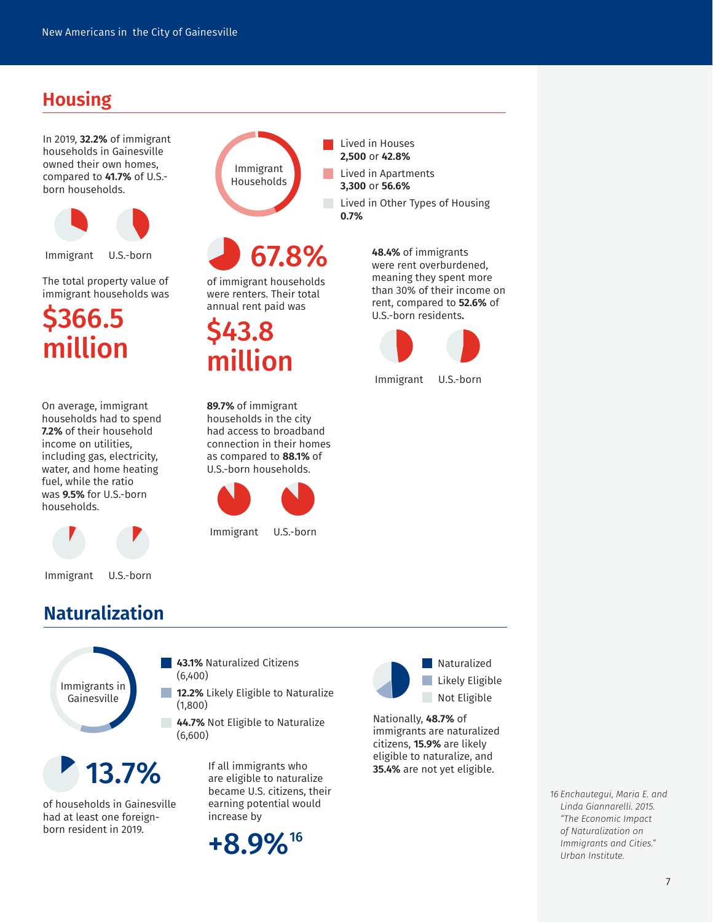### **Housing**

In 2019, **32.2%** of immigrant households in Gainesville owned their own homes, compared to **41.7%** of U.S. born households.



Immigrant U.S.-born

The total property value of immigrant households was

\$366.5 million

On average, immigrant households had to spend **7.2%** of their household income on utilities, including gas, electricity, water, and home heating fuel, while the ratio was **9.5%** for U.S.-born households.



Immigrant U.S.-born

#### **Naturalization**



1  $13.7\%$  If all immigrants who

of households in Gainesville had at least one foreignborn resident in 2019.



 $\mathcal{L}_{\mathcal{A}}$ 

**College** 

## 67.8%

of immigrant households were renters. Their total annual rent paid was

\$43.8 million

**89.7%** of immigrant households in the city had access to broadband connection in their homes as compared to **88.1%** of U.S.-born households.



Immigrant U.S.-born



Lived in Houses **2,500** or **42.8%**

> **48.4%** of immigrants were rent overburdened, meaning they spent more than 30% of their income on rent, compared to **52.6%** of U.S.-born residents**.**



Immigrant U.S.-born



**Naturalized Likely Eligible Not Eligible** 

Nationally, **48.7%** of immigrants are naturalized citizens, **15.9%** are likely eligible to naturalize, and **35.4%** are not yet eligible.

> *16 Enchautegui, Maria E. and Linda Giannarelli. 2015. "The Economic Impact of Naturalization on Immigrants and Cities." Urban Institute.*

+8.9%16

increase by

**43.1%** Naturalized Citizens

**12.2%** Likely Eligible to Naturalize

**44.7%** Not Eligible to Naturalize

(6,400)

(1,800)

(6,600)

**The State** 

are eligible to naturalize became U.S. citizens, their earning potential would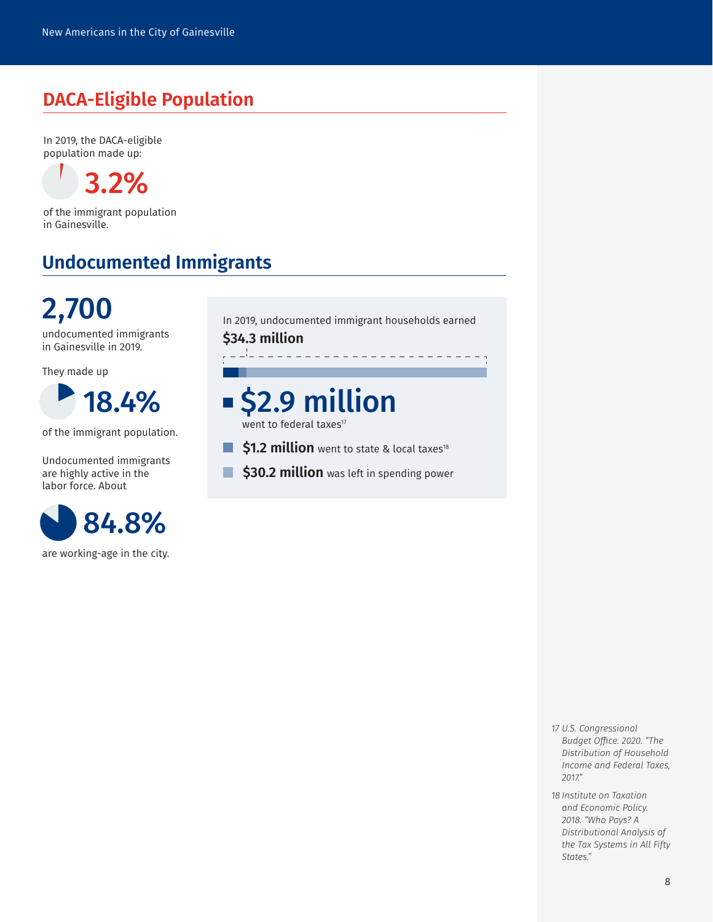#### **DACA-Eligible Population**

In 2019, the DACA-eligible population made up:

3 3.2%

of the immigrant population in Gainesville.

#### **Undocumented Immigrants**



undocumented immigrants in Gainesville in 2019.

They made up



of the immigrant population.

Undocumented immigrants are highly active in the labor force. About



are working-age in the city.

In 2019, undocumented immigrant households earned

**\$34.3 million**

 $\mathbb{R}^3$ 

# \$2.9 million

went to federal taxes<sup>17</sup>

- \$1.2 million went to state & local taxes<sup>18</sup> F.
- \$30.2 million was left in spending power T.

- *17 U.S. Congressional Budget Office. 2020. "The Distribution of Household Income and Federal Taxes, 2017."*
- *18 Institute on Taxation and Economic Policy. 2018. "Who Pays? A Distributional Analysis of the Tax Systems in All Fifty States."*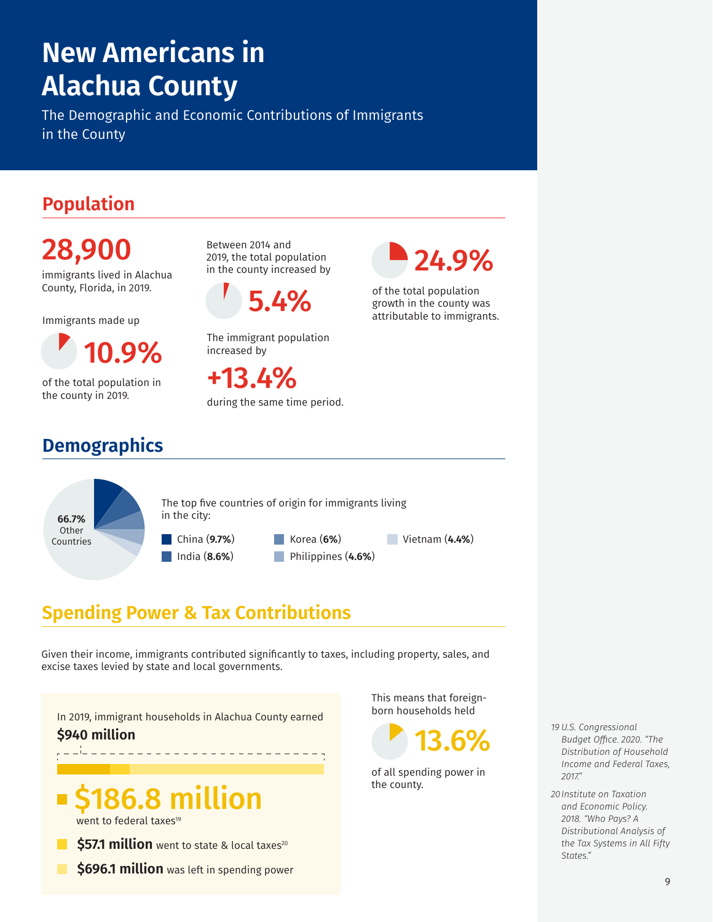# **New Americans in Alachua County**

The Demographic and Economic Contributions of Immigrants in the County

### **Population**

28,900 immigrants lived in Alachua County, Florida, in 2019.

Immigrants made up

1 **9%** 

of the total population in the county in 2019.

## **Demographics**

Between 2014 and 2019, the total population in the county increased by

5.4%

The immigrant population increased by

+13.4% during the same time period.  $\bullet$ 24.9%

of the total population growth in the county was <sup>of the total population</sup><br>5.4% of the total population<br>attributable to immigrants.

66.7%<br>
Other<br>
Countries **66.7%** Other Countries The top five countries of origin for immigrants living in the city: China (**9.7%**) India (**8.6%**) Korea (**6%**) Philippines (**4.6%**) Vietnam (**4.4%**)

### **Spending Power & Tax Contributions**

Given their income, immigrants contributed significantly to taxes, including property, sales, and excise taxes levied by state and local governments.

In 2019, immigrant households in Alachua County earned **\$940 million**

# 6.8 million

went to federal taxes<sup>19</sup>

- \$57.1 million went to state & local taxes<sup>20</sup>
	- **\$696.1 million** was left in spending power

This means that foreign-



of all spending power in the county.

*19 U.S. Congressional Budget Office. 2020. "The Distribution of Household Income and Federal Taxes, 2017."*

*20Institute on Taxation and Economic Policy. 2018. "Who Pays? A Distributional Analysis of the Tax Systems in All Fifty States."*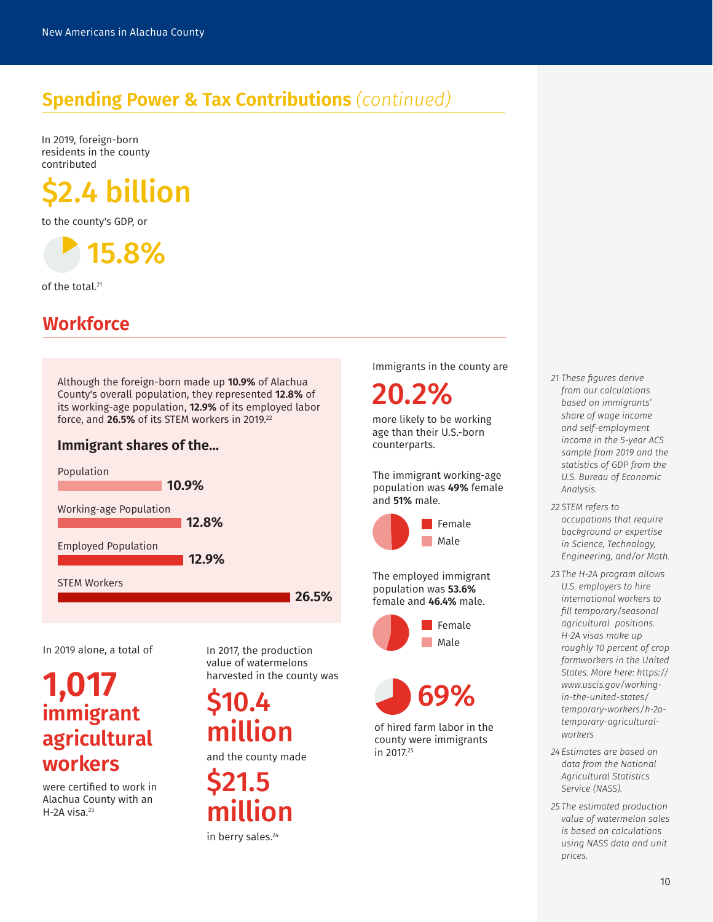### **Spending Power & Tax Contributions** *(continued)*

In 2019, foreign-born residents in the county contributed



to the county's GDP, or

1 15.8%

of the total. 21

#### **Workforce**

Although the foreign-born made up **10.9%** of Alachua County's overall population, they represented **12.8%** of its working-age population, **12.9%** of its employed labor force, and 26.5% of its STEM workers in 2019.<sup>22</sup>

#### **Immigrant shares of the...**



In 2019 alone, a total of

## **1,017 immigrant agricultural workers**

were certified to work in Alachua County with an  $H$ -2A visa. $23$ 

In 2017, the production value of watermelons harvested in the county was

million

and the county made

\$21.5 million in berry sales.<sup>24</sup>

Immigrants in the county are

20.2%

more likely to be working age than their U.S.-born counterparts.

The immigrant working-age population was **49%** female and **51%** male.



The employed immigrant population was **53.6%** female and **46.4%** male.





of hired farm labor in the county were immigrants in 2017.25

*21 These figures derive from our calculations based on immigrants' share of wage income and self-employment income in the 5-year ACS sample from 2019 and the statistics of GDP from the U.S. Bureau of Economic Analysis.*

*22 STEM refers to occupations that require background or expertise in Science, Technology, Engineering, and/or Math.*

- *23 The H-2A program allows U.S. employers to hire international workers to fill temporary/seasonal agricultural positions. H-2A visas make up roughly 10 percent of crop farmworkers in the United States. More here: https:// www.uscis.gov/workingin-the-united-states/ temporary-workers/h-2atemporary-agriculturalworkers*
- *24 Estimates are based on data from the National Agricultural Statistics Service (NASS).*
- *25 The estimated production value of watermelon sales is based on calculations using NASS data and unit prices.*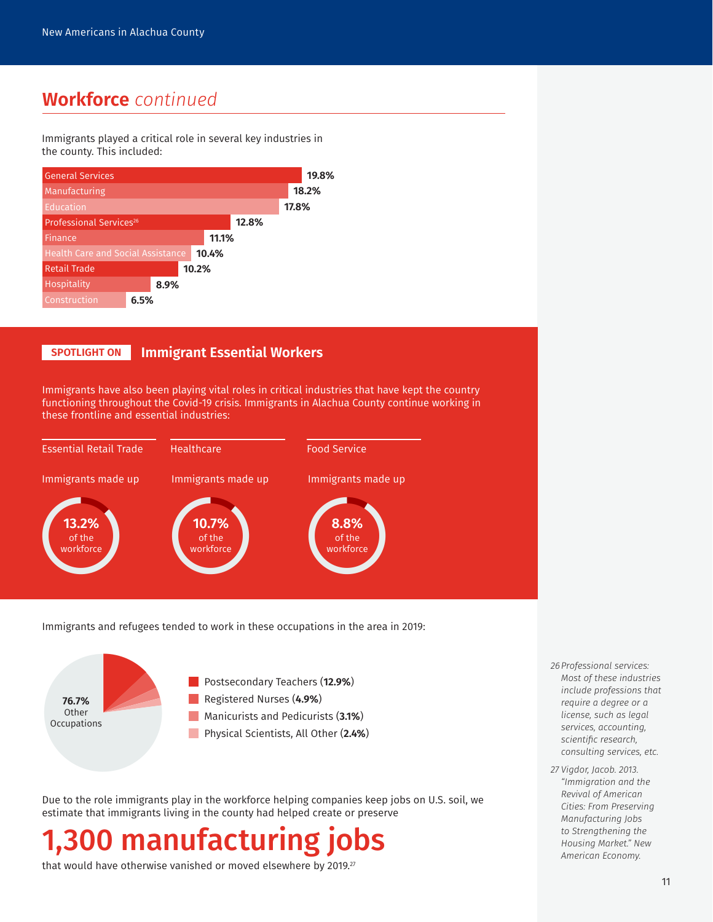#### **Workforce** *continued*

Immigrants played a critical role in several key industries in the county. This included:



#### **SPOTLIGHT ON Immigrant Essential Workers**

Immigrants have also been playing vital roles in critical industries that have kept the country functioning throughout the Covid-19 crisis. Immigrants in Alachua County continue working in these frontline and essential industries:



Immigrants and refugees tended to work in these occupations in the area in 2019:



Due to the role immigrants play in the workforce helping companies keep jobs on U.S. soil, we estimate that immigrants living in the county had helped create or preserve

# 0 manufacturing j

that would have otherwise vanished or moved elsewhere by 2019.<sup>27</sup>

- *26Professional services: Most of these industries include professions that require a degree or a license, such as legal services, accounting, scientific research, consulting services, etc.*
- *27 Vigdor, Jacob. 2013. "Immigration and the Revival of American Cities: From Preserving Manufacturing Jobs to Strengthening the Housing Market." New American Economy.*